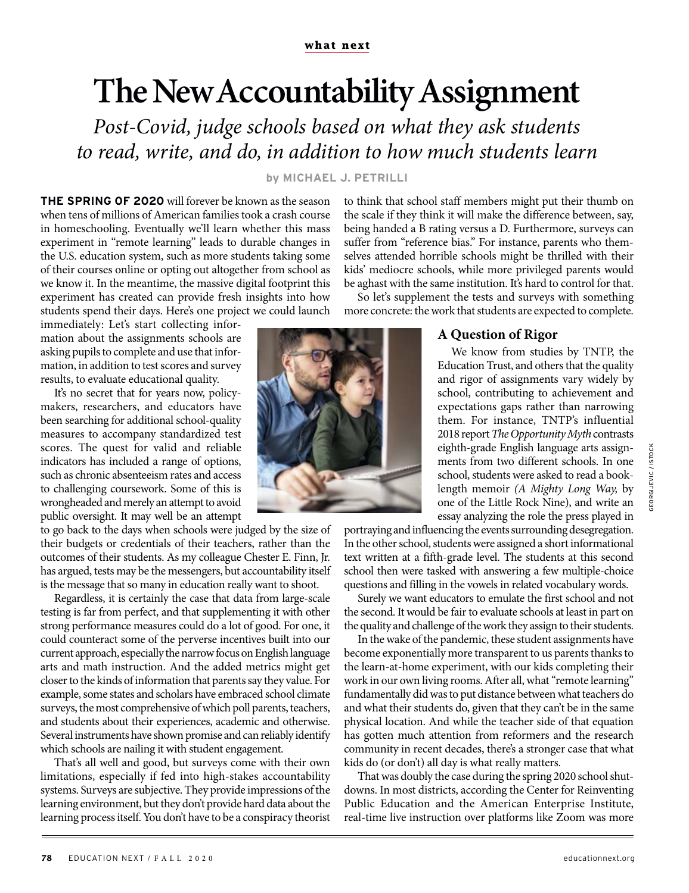## **The New Accountability Assignment**

*Post-Covid, judge schools based on what they ask students to read, write, and do, in addition to how much students learn*

## **by MICHAEL J. PETRILLI**

**THE SPRING OF 2020** will forever be known as the season when tens of millions of American families took a crash course in homeschooling. Eventually we'll learn whether this mass experiment in "remote learning" leads to durable changes in the U.S. education system, such as more students taking some of their courses online or opting out altogether from school as we know it. In the meantime, the massive digital footprint this experiment has created can provide fresh insights into how students spend their days. Here's one project we could launch

immediately: Let's start collecting information about the assignments schools are asking pupils to complete and use that information, in addition to test scores and survey results, to evaluate educational quality.

It's no secret that for years now, policymakers, researchers, and educators have been searching for additional school-quality measures to accompany standardized test scores. The quest for valid and reliable indicators has included a range of options, such as chronic absenteeism rates and access to challenging coursework. Some of this is wrongheaded and merely an attempt to avoid public oversight. It may well be an attempt

to go back to the days when schools were judged by the size of their budgets or credentials of their teachers, rather than the outcomes of their students. As my colleague Chester E. Finn, Jr. has argued, tests may be the messengers, but accountability itself is the message that so many in education really want to shoot.

Regardless, it is certainly the case that data from large-scale testing is far from perfect, and that supplementing it with other strong performance measures could do a lot of good. For one, it could counteract some of the perverse incentives built into our current approach, especially the narrow focus on English language arts and math instruction. And the added metrics might get closer to the kinds of information that parents say they value. For example, some states and scholars have embraced school climate surveys, the most comprehensive of which poll parents, teachers, and students about their experiences, academic and otherwise. Several instruments have shown promise and can reliably identify which schools are nailing it with student engagement.

That's all well and good, but surveys come with their own limitations, especially if fed into high-stakes accountability systems. Surveys are subjective. They provide impressions of the learning environment, but they don't provide hard data about the learning process itself. You don't have to be a conspiracy theorist

to think that school staff members might put their thumb on the scale if they think it will make the difference between, say, being handed a B rating versus a D. Furthermore, surveys can suffer from "reference bias." For instance, parents who themselves attended horrible schools might be thrilled with their kids' mediocre schools, while more privileged parents would be aghast with the same institution. It's hard to control for that.

So let's supplement the tests and surveys with something more concrete: the work that students are expected to complete.

## **A Question of Rigor**

We know from studies by TNTP, the Education Trust, and others that the quality and rigor of assignments vary widely by school, contributing to achievement and expectations gaps rather than narrowing them. For instance, TNTP's influential 2018 report *The Opportunity Myth* contrasts eighth-grade English language arts assignments from two different schools. In one school, students were asked to read a booklength memoir *(A Mighty Long Way,* by one of the Little Rock Nine), and write an essay analyzing the role the press played in

portraying and influencing the events surrounding desegregation. In the other school, students were assigned a short informational text written at a fifth-grade level. The students at this second school then were tasked with answering a few multiple-choice questions and filling in the vowels in related vocabulary words.

Surely we want educators to emulate the first school and not the second. It would be fair to evaluate schools at least in part on the quality and challenge of the work they assign to their students.

In the wake of the pandemic, these student assignments have become exponentially more transparent to us parents thanks to the learn-at-home experiment, with our kids completing their work in our own living rooms. After all, what "remote learning" fundamentally did was to put distance between what teachers do and what their students do, given that they can't be in the same physical location. And while the teacher side of that equation has gotten much attention from reformers and the research community in recent decades, there's a stronger case that what kids do (or don't) all day is what really matters.

That was doubly the case during the spring 2020 school shutdowns. In most districts, according the Center for Reinventing Public Education and the American Enterprise Institute, real-time live instruction over platforms like Zoom was more